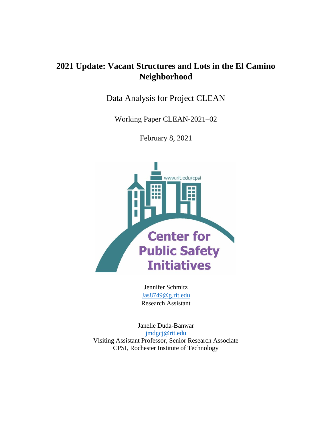# **2021 Update: Vacant Structures and Lots in the El Camino Neighborhood**

Data Analysis for Project CLEAN

Working Paper CLEAN-2021–02

February 8, 2021



Jennifer Schmitz [Jas8749@g.rit.edu](mailto:Jas8749@g.rit.edu) Research Assistant

Janelle Duda-Banwar [jmdgcj@rit.edu](mailto:jmdgcj@rit.edu) Visiting Assistant Professor, Senior Research Associate CPSI, Rochester Institute of Technology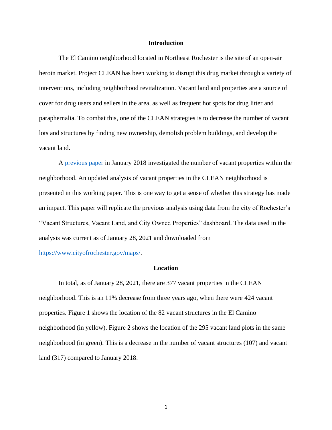#### **Introduction**

The El Camino neighborhood located in Northeast Rochester is the site of an open-air heroin market. Project CLEAN has been working to disrupt this drug market through a variety of interventions, including neighborhood revitalization. Vacant land and properties are a source of cover for drug users and sellers in the area, as well as frequent hot spots for drug litter and paraphernalia. To combat this, one of the CLEAN strategies is to decrease the number of vacant lots and structures by finding new ownership, demolish problem buildings, and develop the vacant land.

A [previous paper](https://www.rit.edu/liberalarts/sites/rit.edu.liberalarts/files/docs/CRIM%20Resources/Vacant%20Structures%20and%20Lots%20in%20the%20El%20Camino%20Neighborhood.pdf) in January 2018 investigated the number of vacant properties within the neighborhood. An updated analysis of vacant properties in the CLEAN neighborhood is presented in this working paper. This is one way to get a sense of whether this strategy has made an impact. This paper will replicate the previous analysis using data from the city of Rochester's "Vacant Structures, Vacant Land, and City Owned Properties" dashboard. The data used in the analysis was current as of January 28, 2021 and downloaded from

[https://www.cityofrochester.gov/maps/.](https://www.cityofrochester.gov/maps/)

#### **Location**

In total, as of January 28, 2021, there are 377 vacant properties in the CLEAN neighborhood. This is an 11% decrease from three years ago, when there were 424 vacant properties. Figure 1 shows the location of the 82 vacant structures in the El Camino neighborhood (in yellow). Figure 2 shows the location of the 295 vacant land plots in the same neighborhood (in green). This is a decrease in the number of vacant structures (107) and vacant land (317) compared to January 2018.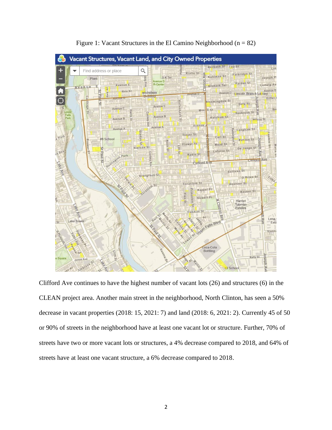

Figure 1: Vacant Structures in the El Camino Neighborhood ( $n = 82$ )

Clifford Ave continues to have the highest number of vacant lots (26) and structures (6) in the CLEAN project area. Another main street in the neighborhood, North Clinton, has seen a 50% decrease in vacant properties (2018: 15, 2021: 7) and land (2018: 6, 2021: 2). Currently 45 of 50 or 90% of streets in the neighborhood have at least one vacant lot or structure. Further, 70% of streets have two or more vacant lots or structures, a 4% decrease compared to 2018, and 64% of streets have at least one vacant structure, a 6% decrease compared to 2018.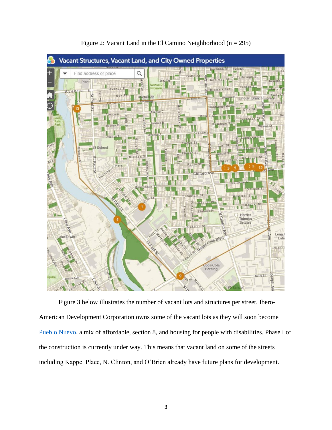

Figure 2: Vacant Land in the El Camino Neighborhood (n = 295)

Figure 3 below illustrates the number of vacant lots and structures per street. Ibero-American Development Corporation owns some of the vacant lots as they will soon become [Pueblo Nuevo,](https://www.ibero.org/groundbreaking-pueblo-nuevo/) a mix of affordable, section 8, and housing for people with disabilities. Phase I of the construction is currently under way. This means that vacant land on some of the streets including Kappel Place, N. Clinton, and O'Brien already have future plans for development.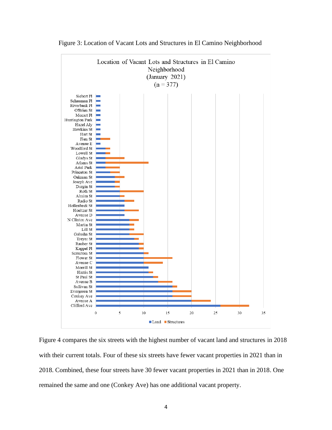

Figure 3: Location of Vacant Lots and Structures in El Camino Neighborhood

Figure 4 compares the six streets with the highest number of vacant land and structures in 2018 with their current totals. Four of these six streets have fewer vacant properties in 2021 than in 2018. Combined, these four streets have 30 fewer vacant properties in 2021 than in 2018. One remained the same and one (Conkey Ave) has one additional vacant property.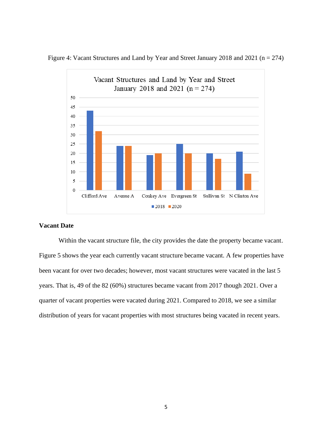

Figure 4: Vacant Structures and Land by Year and Street January 2018 and 2021 (n = 274)

## **Vacant Date**

Within the vacant structure file, the city provides the date the property became vacant. Figure 5 shows the year each currently vacant structure became vacant. A few properties have been vacant for over two decades; however, most vacant structures were vacated in the last 5 years. That is, 49 of the 82 (60%) structures became vacant from 2017 though 2021. Over a quarter of vacant properties were vacated during 2021. Compared to 2018, we see a similar distribution of years for vacant properties with most structures being vacated in recent years.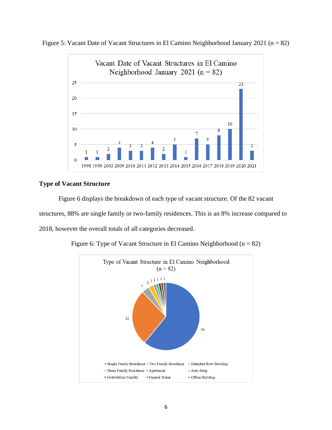

Figure 5: Vacant Date of Vacant Structures in El Camino Neighborhood January 2021 (n = 82)

## **Type of Vacant Structure**

Figure 6 displays the breakdown of each type of vacant structure. Of the 82 vacant structures, 88% are single family or two-family residences. This is an 8% increase compared to 2018, however the overall totals of all categories decreased.



Figure 6: Type of Vacant Structure in El Camino Neighborhood ( $n = 82$ )